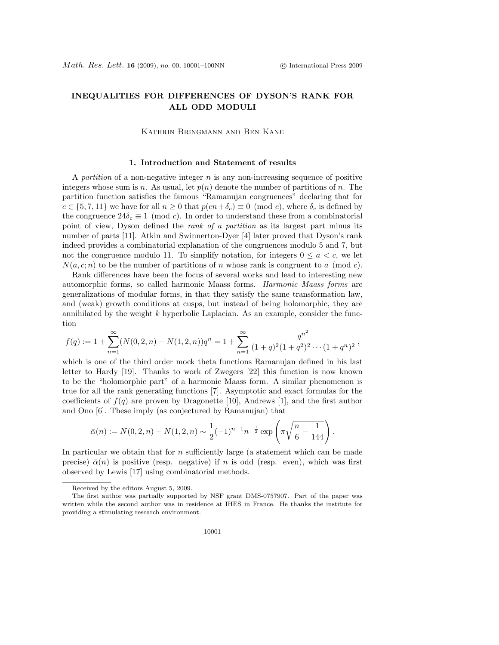# INEQUALITIES FOR DIFFERENCES OF DYSON'S RANK FOR ALL ODD MODULI

Kathrin Bringmann and Ben Kane

### 1. Introduction and Statement of results

A partition of a non-negative integer  $n$  is any non-increasing sequence of positive integers whose sum is n. As usual, let  $p(n)$  denote the number of partitions of n. The partition function satisfies the famous "Ramanujan congruences" declaring that for  $c \in \{5, 7, 11\}$  we have for all  $n \geq 0$  that  $p(cn+\delta_c) \equiv 0 \pmod{c}$ , where  $\delta_c$  is defined by the congruence  $24\delta_c \equiv 1 \pmod{c}$ . In order to understand these from a combinatorial point of view, Dyson defined the rank of a partition as its largest part minus its number of parts [11]. Atkin and Swinnerton-Dyer [4] later proved that Dyson's rank indeed provides a combinatorial explanation of the congruences modulo 5 and 7, but not the congruence modulo 11. To simplify notation, for integers  $0 \le a < c$ , we let  $N(a, c; n)$  to be the number of partitions of n whose rank is congruent to a (mod c).

Rank differences have been the focus of several works and lead to interesting new automorphic forms, so called harmonic Maass forms. Harmonic Maass forms are generalizations of modular forms, in that they satisfy the same transformation law, and (weak) growth conditions at cusps, but instead of being holomorphic, they are annihilated by the weight  $k$  hyperbolic Laplacian. As an example, consider the function

$$
f(q) := 1 + \sum_{n=1}^{\infty} (N(0,2,n) - N(1,2,n))q^n = 1 + \sum_{n=1}^{\infty} \frac{q^{n^2}}{(1+q)^2(1+q^2)^2 \cdots (1+q^n)^2},
$$

which is one of the third order mock theta functions Ramanujan defined in his last letter to Hardy [19]. Thanks to work of Zwegers [22] this function is now known to be the "holomorphic part" of a harmonic Maass form. A similar phenomenon is true for all the rank generating functions [7]. Asymptotic and exact formulas for the coefficients of  $f(q)$  are proven by Dragonette [10], Andrews [1], and the first author and Ono [6]. These imply (as conjectured by Ramanujan) that

$$
\bar{\alpha}(n) := N(0, 2, n) - N(1, 2, n) \sim \frac{1}{2} (-1)^{n-1} n^{-\frac{1}{2}} \exp\left(\pi \sqrt{\frac{n}{6} - \frac{1}{144}}\right).
$$

In particular we obtain that for n sufficiently large (a statement which can be made precise)  $\bar{\alpha}(n)$  is positive (resp. negative) if n is odd (resp. even), which was first observed by Lewis [17] using combinatorial methods.

Received by the editors August 5, 2009.

The first author was partially supported by NSF grant DMS-0757907. Part of the paper was written while the second author was in residence at IHES in France. He thanks the institute for providing a stimulating research environment.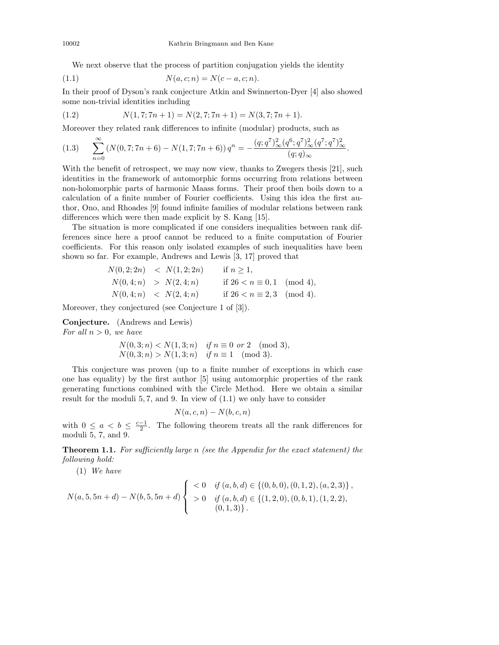We next observe that the process of partition conjugation yields the identity

(1.1) 
$$
N(a, c; n) = N(c - a, c; n).
$$

In their proof of Dyson's rank conjecture Atkin and Swinnerton-Dyer [4] also showed some non-trivial identities including

(1.2) 
$$
N(1,7;7n+1) = N(2,7;7n+1) = N(3,7;7n+1).
$$

Moreover they related rank differences to infinite (modular) products, such as

$$
(1.3) \qquad \sum_{n=0}^{\infty} \left( N(0,7;7n+6) - N(1,7;7n+6) \right) q^n = -\frac{(q;q^7)^2_{\infty} (q^6;q^7)^2_{\infty} (q^7;q^7)^2_{\infty}}{(q;q)_{\infty}}.
$$

With the benefit of retrospect, we may now view, thanks to Zwegers thesis [21], such identities in the framework of automorphic forms occurring from relations between non-holomorphic parts of harmonic Maass forms. Their proof then boils down to a calculation of a finite number of Fourier coefficients. Using this idea the first author, Ono, and Rhoades [9] found infinite families of modular relations between rank differences which were then made explicit by S. Kang [15].

The situation is more complicated if one considers inequalities between rank differences since here a proof cannot be reduced to a finite computation of Fourier coefficients. For this reason only isolated examples of such inequalities have been shown so far. For example, Andrews and Lewis [3, 17] proved that

$$
N(0,2;2n) < N(1,2;2n) \quad \text{if } n \ge 1,
$$
\n
$$
N(0,4;n) > N(2,4;n) \quad \text{if } 26 < n \equiv 0,1 \pmod{4},
$$
\n
$$
N(0,4;n) < N(2,4;n) \quad \text{if } 26 < n \equiv 2,3 \pmod{4}.
$$

Moreover, they conjectured (see Conjecture 1 of [3]).

Conjecture. (Andrews and Lewis) For all  $n > 0$ , we have

$$
N(0,3;n) < N(1,3;n) \quad \text{if } n \equiv 0 \text{ or } 2 \pmod{3},
$$
\n
$$
N(0,3;n) > N(1,3;n) \quad \text{if } n \equiv 1 \pmod{3}.
$$

This conjecture was proven (up to a finite number of exceptions in which case one has equality) by the first author [5] using automorphic properties of the rank generating functions combined with the Circle Method. Here we obtain a similar result for the moduli 5, 7, and 9. In view of (1.1) we only have to consider

$$
N(a,c,n) - N(b,c,n)
$$

with  $0 \leq a < b \leq \frac{c-1}{2}$ . The following theorem treats all the rank differences for moduli 5, 7, and 9.

**Theorem 1.1.** For sufficiently large n (see the Appendix for the exact statement) the following hold:

(1) We have

$$
N(a,5,5n+d) - N(b,5,5n+d) \begin{cases} < 0 \quad \text{if } (a,b,d) \in \{ (0,b,0), (0,1,2), (a,2,3) \}, \\ > 0 \quad \text{if } (a,b,d) \in \{ (1,2,0), (0,b,1), (1,2,2), \\ & (0,1,3) \}. \end{cases}
$$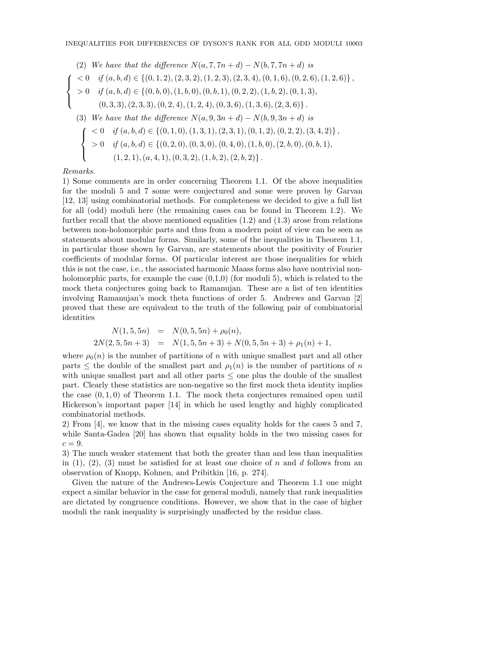(2) We have that the difference 
$$
N(a, 7, 7n + d) - N(b, 7, 7n + d)
$$
 is  
\n
$$
\begin{cases}\n< 0 & \text{if } (a, b, d) \in \{ (0, 1, 2), (2, 3, 2), (1, 2, 3), (2, 3, 4), (0, 1, 6), (0, 2, 6), (1, 2, 6) \}, \\
> 0 & \text{if } (a, b, d) \in \{ (0, b, 0), (1, b, 0), (0, b, 1), (0, 2, 2), (1, b, 2), (0, 1, 3), \\
(0, 3, 3), (2, 3, 3), (0, 2, 4), (1, 2, 4), (0, 3, 6), (1, 3, 6), (2, 3, 6) \}.\n\end{cases}
$$
\n(3) We have that the difference  $N(a, 9, 3n + d) - N(b, 9, 3n + d)$  is  
\n
$$
\begin{cases}\n< 0 & \text{if } (a, b, d) \in \{ (0, 1, 0), (1, 3, 1), (2, 3, 1), (0, 1, 2), (0, 2, 2), (3, 4, 2) \}, \\
> 0 & \text{if } (a, b, d) \in \{ (0, 2, 0), (0, 3, 0), (0, 4, 0), (1, b, 0), (2, b, 0), (0, b, 1), \\
(1, 2, 1), (a, 4, 1), (0, 3, 2), (1, b, 2), (2, b, 2) \}.\n\end{cases}
$$

### Remarks.

1) Some comments are in order concerning Theorem 1.1. Of the above inequalities for the moduli 5 and 7 some were conjectured and some were proven by Garvan [12, 13] using combinatorial methods. For completeness we decided to give a full list for all (odd) moduli here (the remaining cases can be found in Theorem 1.2). We further recall that the above mentioned equalities  $(1.2)$  and  $(1.3)$  arose from relations between non-holomorphic parts and thus from a modern point of view can be seen as statements about modular forms. Similarly, some of the inequalities in Theorem 1.1, in particular those shown by Garvan, are statements about the positivity of Fourier coefficients of modular forms. Of particular interest are those inequalities for which this is not the case, i.e., the associated harmonic Maass forms also have nontrivial nonholomorphic parts, for example the case  $(0,1,0)$  (for moduli 5), which is related to the mock theta conjectures going back to Ramanujan. These are a list of ten identities involving Ramanujan's mock theta functions of order 5. Andrews and Garvan [2] proved that these are equivalent to the truth of the following pair of combinatorial identities

$$
N(1,5,5n) = N(0,5,5n) + \rho_0(n),
$$
  
\n
$$
2N(2,5,5n+3) = N(1,5,5n+3) + N(0,5,5n+3) + \rho_1(n) + 1,
$$

where  $\rho_0(n)$  is the number of partitions of n with unique smallest part and all other parts  $\leq$  the double of the smallest part and  $\rho_1(n)$  is the number of partitions of n with unique smallest part and all other parts  $\leq$  one plus the double of the smallest part. Clearly these statistics are non-negative so the first mock theta identity implies the case  $(0, 1, 0)$  of Theorem 1.1. The mock theta conjectures remained open until Hickerson's important paper [14] in which he used lengthy and highly complicated combinatorial methods.

2) From [4], we know that in the missing cases equality holds for the cases 5 and 7, while Santa-Gadea [20] has shown that equality holds in the two missing cases for  $c = 9$ .

3) The much weaker statement that both the greater than and less than inequalities in  $(1)$ ,  $(2)$ ,  $(3)$  must be satisfied for at least one choice of n and d follows from an observation of Knopp, Kohnen, and Pribitkin [16, p. 274].

Given the nature of the Andrews-Lewis Conjecture and Theorem 1.1 one might expect a similar behavior in the case for general moduli, namely that rank inequalities are dictated by congruence conditions. However, we show that in the case of higher moduli the rank inequality is surprisingly unaffected by the residue class.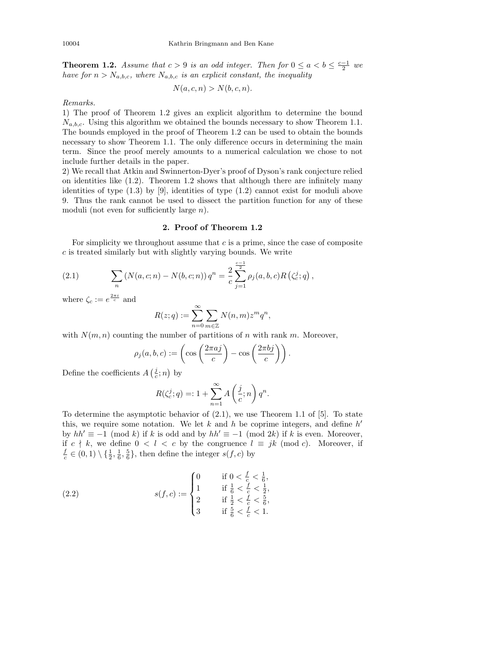**Theorem 1.2.** Assume that  $c > 9$  is an odd integer. Then for  $0 \le a < b \le \frac{c-1}{2}$  we have for  $n > N_{a,b,c}$ , where  $N_{a,b,c}$  is an explicit constant, the inequality

$$
N(a,c,n) > N(b,c,n).
$$

Remarks.

1) The proof of Theorem 1.2 gives an explicit algorithm to determine the bound  $N_{a,b,c}$ . Using this algorithm we obtained the bounds necessary to show Theorem 1.1. The bounds employed in the proof of Theorem 1.2 can be used to obtain the bounds necessary to show Theorem 1.1. The only difference occurs in determining the main term. Since the proof merely amounts to a numerical calculation we chose to not include further details in the paper.

2) We recall that Atkin and Swinnerton-Dyer's proof of Dyson's rank conjecture relied on identities like (1.2). Theorem 1.2 shows that although there are infinitely many identities of type  $(1.3)$  by [9], identities of type  $(1.2)$  cannot exist for moduli above 9. Thus the rank cannot be used to dissect the partition function for any of these moduli (not even for sufficiently large n).

# 2. Proof of Theorem 1.2

For simplicity we throughout assume that  $c$  is a prime, since the case of composite  $c$  is treated similarly but with slightly varying bounds. We write

(2.1) 
$$
\sum_{n} \left( N(a, c; n) - N(b, c; n) \right) q^{n} = \frac{2}{c} \sum_{j=1}^{\frac{c-1}{2}} \rho_{j}(a, b, c) R\left(\zeta_c^{j}; q\right),
$$

where  $\zeta_c := e^{\frac{2\pi i}{c}}$  and

$$
R(z;q) := \sum_{n=0}^{\infty} \sum_{m \in \mathbb{Z}} N(n,m) z^m q^n,
$$

with  $N(m, n)$  counting the number of partitions of n with rank m. Moreover,

$$
\rho_j(a, b, c) := \left(\cos\left(\frac{2\pi a j}{c}\right) - \cos\left(\frac{2\pi b j}{c}\right)\right).
$$

Define the coefficients  $A\left(\frac{i}{c};n\right)$  by

$$
R(\zeta_c^j;q)=:1+\sum_{n=1}^\infty A\left(\frac{j}{c};n\right)q^n.
$$

To determine the asymptotic behavior of  $(2.1)$ , we use Theorem 1.1 of [5]. To state this, we require some notation. We let  $k$  and  $h$  be coprime integers, and define  $h'$ by  $hh' \equiv -1 \pmod{k}$  if k is odd and by  $hh' \equiv -1 \pmod{2k}$  if k is even. Moreover, if c  $\nmid k$ , we define 0 < l < c by the congruence  $l \equiv jk \pmod{c}$ . Moreover, if  $\frac{f}{c} \in (0,1) \setminus \{\frac{1}{2}, \frac{1}{6}, \frac{5}{6}\},\$  then define the integer  $s(f, c)$  by

(2.2) 
$$
s(f, c) := \begin{cases} 0 & \text{if } 0 < \frac{f}{c} < \frac{1}{6}, \\ 1 & \text{if } \frac{1}{6} < \frac{f}{c} < \frac{1}{2}, \\ 2 & \text{if } \frac{1}{2} < \frac{f}{c} < \frac{5}{6}, \\ 3 & \text{if } \frac{5}{6} < \frac{f}{c} < 1. \end{cases}
$$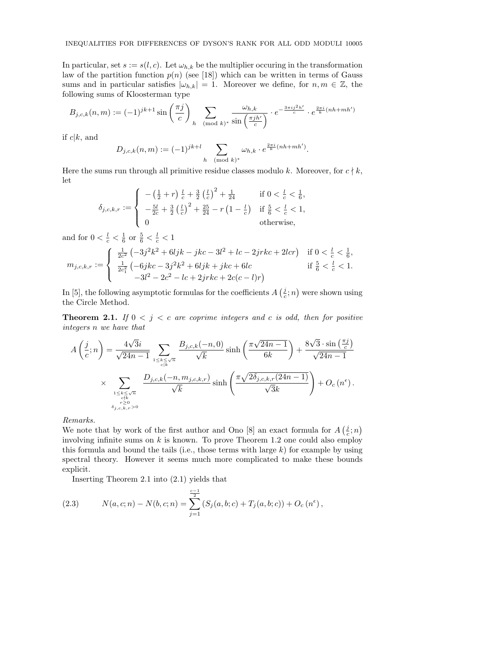In particular, set  $s := s(l, c)$ . Let  $\omega_{h,k}$  be the multiplier occuring in the transformation law of the partition function  $p(n)$  (see [18]) which can be written in terms of Gauss sums and in particular satisfies  $|\omega_{h,k}| = 1$ . Moreover we define, for  $n, m \in \mathbb{Z}$ , the following sums of Kloosterman type

$$
B_{j,c,k}(n,m) := (-1)^{jk+1} \sin\left(\frac{\pi j}{c}\right) \sum_{h \pmod{k}} \frac{\omega_{h,k}}{\sin\left(\frac{\pi j h'}{c}\right)} \cdot e^{-\frac{3\pi i j^2 h'}{c}} \cdot e^{\frac{2\pi i}{k}(nh+mh')}
$$

if  $c|k$ , and

$$
D_{j,c,k}(n,m) := (-1)^{jk+l} \sum_{h \pmod{k}} \omega_{h,k} \cdot e^{\frac{2\pi i}{k}(nh+mh')}.
$$

Here the sums run through all primitive residue classes modulo k. Moreover, for  $c \nmid k$ , let

$$
\delta_{j,c,k,r} := \begin{cases}\n-\left(\frac{1}{2}+r\right)\frac{l}{c} + \frac{3}{2}\left(\frac{l}{c}\right)^2 + \frac{1}{24} & \text{if } 0 < \frac{l}{c} < \frac{1}{6}, \\
-\frac{5l}{2c} + \frac{3}{2}\left(\frac{l}{c}\right)^2 + \frac{25}{24} - r\left(1 - \frac{l}{c}\right) & \text{if } \frac{5}{6} < \frac{l}{c} < 1, \\
0 & \text{otherwise,}\n\end{cases}
$$

and for  $0 < \frac{l}{c} < \frac{1}{6}$  or  $\frac{5}{6} < \frac{l}{c} < 1$ 

$$
m_{j,c,k,r} := \begin{cases} \frac{1}{2c^2} \left( -3j^2k^2 + 6ljk - jkc - 3l^2 + lc - 2jrkc + 2lcr \right) & \text{if } 0 < \frac{l}{c} < \frac{1}{6}, \\ \frac{1}{2c_1^2} \left( -6jkc - 3j^2k^2 + 6ljk + jkc + 6lc & \text{if } \frac{5}{6} < \frac{l}{c} < 1. \\ -3l^2 - 2c^2 - lc + 2jrkc + 2c(c - l)r \right) \end{cases}
$$

In [5], the following asymptotic formulas for the coefficients  $A\left(\frac{i}{c};n\right)$  were shown using the Circle Method.

**Theorem 2.1.** If  $0 < j < c$  are coprime integers and c is odd, then for positive integers n we have that

$$
A\left(\frac{j}{c};n\right) = \frac{4\sqrt{3}i}{\sqrt{24n-1}} \sum_{\substack{1 \le k \le \sqrt{n} \\ c|k}} \frac{B_{j,c,k}(-n,0)}{\sqrt{k}} \sinh\left(\frac{\pi\sqrt{24n-1}}{6k}\right) + \frac{8\sqrt{3}\cdot\sin\left(\frac{\pi j}{c}\right)}{\sqrt{24n-1}}
$$
  
 
$$
\times \sum_{\substack{1 \le k \le \sqrt{n} \\ c|k \\ \delta_{j,c,k,r} > 0}} \frac{D_{j,c,k}(-n,m_{j,c,k,r})}{\sqrt{k}} \sinh\left(\frac{\pi\sqrt{2\delta_{j,c,k,r}(24n-1)}}{\sqrt{3}k}\right) + O_c\left(n^{\epsilon}\right).
$$

Remarks.

We note that by work of the first author and Ono [8] an exact formula for  $A\left(\frac{i}{c};n\right)$ involving infinite sums on  $k$  is known. To prove Theorem 1.2 one could also employ this formula and bound the tails (i.e., those terms with large  $k$ ) for example by using spectral theory. However it seems much more complicated to make these bounds explicit.

Inserting Theorem 2.1 into (2.1) yields that

(2.3) 
$$
N(a, c; n) - N(b, c; n) = \sum_{j=1}^{\frac{c-1}{2}} (S_j(a, b; c) + T_j(a, b; c)) + O_c(n^{\epsilon}),
$$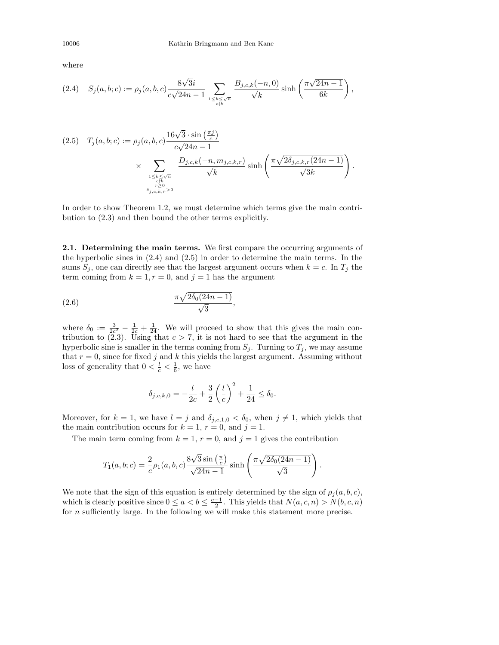,

where

$$
(2.4) \quad S_j(a,b;c) := \rho_j(a,b,c) \frac{8\sqrt{3}i}{c\sqrt{24n-1}} \sum_{\substack{1 \le k \le \sqrt{n} \\ c|k}} \frac{B_{j,c,k}(-n,0)}{\sqrt{k}} \sinh\left(\frac{\pi\sqrt{24n-1}}{6k}\right)
$$

$$
(2.5) \quad T_j(a, b; c) := \rho_j(a, b, c) \frac{16\sqrt{3} \cdot \sin\left(\frac{\pi j}{c}\right)}{c\sqrt{24n - 1}}
$$

$$
\times \sum_{\substack{1 \le k \le \sqrt{n} \\ c \nmid k \\ \delta_{j, c, k, r} > 0}} \frac{D_{j, c, k}(-n, m_{j, c, k, r})}{\sqrt{k}} \sinh\left(\frac{\pi \sqrt{2\delta_{j, c, k, r}(24n - 1)}}{\sqrt{3}k}\right).
$$

In order to show Theorem 1.2, we must determine which terms give the main contribution to (2.3) and then bound the other terms explicitly.

2.1. Determining the main terms. We first compare the occurring arguments of the hyperbolic sines in (2.4) and (2.5) in order to determine the main terms. In the sums  $S_j$ , one can directly see that the largest argument occurs when  $k = c$ . In  $T_j$  the term coming from  $k = 1, r = 0$ , and  $j = 1$  has the argument

$$
\frac{\pi\sqrt{2\delta_0(24n-1)}}{\sqrt{3}},
$$

where  $\delta_0 := \frac{3}{2c^2} - \frac{1}{2c} + \frac{1}{24}$ . We will proceed to show that this gives the main contribution to  $(2.3)$ . Using that  $c > 7$ , it is not hard to see that the argument in the hyperbolic sine is smaller in the terms coming from  $S_j$ . Turning to  $T_j$ , we may assume that  $r = 0$ , since for fixed j and k this yields the largest argument. Assuming without loss of generality that  $0 < \frac{l}{c} < \frac{1}{6}$ , we have

$$
\delta_{j,c,k,0} = -\frac{l}{2c} + \frac{3}{2} \left(\frac{l}{c}\right)^2 + \frac{1}{24} \le \delta_0.
$$

Moreover, for  $k = 1$ , we have  $l = j$  and  $\delta_{j,c,1,0} < \delta_0$ , when  $j \neq 1$ , which yields that the main contribution occurs for  $k = 1$ ,  $r = 0$ , and  $j = 1$ .

The main term coming from  $k = 1$ ,  $r = 0$ , and  $j = 1$  gives the contribution

$$
T_1(a, b; c) = \frac{2}{c} \rho_1(a, b, c) \frac{8\sqrt{3}\sin\left(\frac{\pi}{c}\right)}{\sqrt{24n-1}} \sinh\left(\frac{\pi\sqrt{2\delta_0(24n-1)}}{\sqrt{3}}\right).
$$

We note that the sign of this equation is entirely determined by the sign of  $\rho_j(a, b, c)$ , which is clearly positive since  $0 \le a < b \le \frac{c-1}{2}$ . This yields that  $N(a, c, n) > N(b, c, n)$ for n sufficiently large. In the following we will make this statement more precise.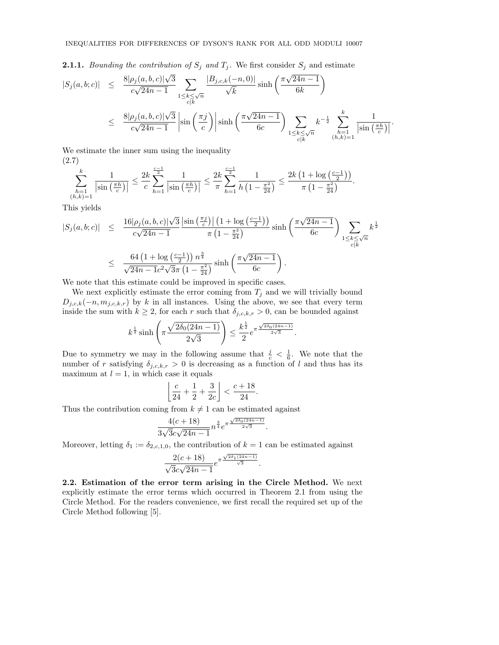**2.1.1.** Bounding the contribution of  $S_j$  and  $T_j$ . We first consider  $S_j$  and estimate

$$
|S_j(a, b; c)| \leq \frac{8|\rho_j(a, b, c)|\sqrt{3}}{c\sqrt{24n - 1}} \sum_{1 \leq k \leq \sqrt{n}} \frac{|B_{j,c,k}(-n, 0)|}{\sqrt{k}} \sinh\left(\frac{\pi\sqrt{24n - 1}}{6k}\right)
$$
  

$$
\leq \frac{8|\rho_j(a, b, c)|\sqrt{3}}{c\sqrt{24n - 1}} \left| \sin\left(\frac{\pi j}{c}\right) \right| \sinh\left(\frac{\pi\sqrt{24n - 1}}{6c}\right) \sum_{\substack{1 \leq k \leq \sqrt{n} \\ c|k}} k^{-\frac{1}{2}} \sum_{\substack{h=1 \\ (h,k)=1}}^k \frac{1}{|\sin\left(\frac{\pi h}{c}\right)|}.
$$

We estimate the inner sum using the inequality (2.7)

$$
\sum_{\substack{h=1\\(h,k)=1}}^k \frac{1}{\left|\sin\left(\frac{\pi h}{c}\right)\right|} \le \frac{2k}{c} \sum_{h=1}^{\frac{c-1}{2}} \frac{1}{\left|\sin\left(\frac{\pi h}{c}\right)\right|} \le \frac{2k}{\pi} \sum_{h=1}^{\frac{c-1}{2}} \frac{1}{h\left(1-\frac{\pi^2}{24}\right)} \le \frac{2k\left(1+\log\left(\frac{c-1}{2}\right)\right)}{\pi\left(1-\frac{\pi^2}{24}\right)}.
$$

This yields

$$
|S_j(a, b; c)| \leq \frac{16|\rho_j(a, b, c)|\sqrt{3}}{c\sqrt{24n - 1}} \frac{\left|\sin\left(\frac{\pi j}{c}\right)\right| \left(1 + \log\left(\frac{c-1}{2}\right)\right)}{\pi \left(1 - \frac{\pi^2}{24}\right)} \sinh\left(\frac{\pi\sqrt{24n - 1}}{6c}\right) \sum_{1 \leq k \leq \sqrt{n}} k^{\frac{1}{2}}
$$
  

$$
\leq \frac{64\left(1 + \log\left(\frac{c-1}{2}\right)\right)n^{\frac{3}{4}}}{\sqrt{24n - 1}c^2\sqrt{3}\pi \left(1 - \frac{\pi^2}{24}\right)} \sinh\left(\frac{\pi\sqrt{24n - 1}}{6c}\right).
$$

We note that this estimate could be improved in specific cases.

We next explicitly estimate the error coming from  $T_j$  and we will trivially bound  $D_{j,c,k}(-n, m_{j,c,k,r})$  by k in all instances. Using the above, we see that every term inside the sum with  $k \geq 2$ , for each r such that  $\delta_{j,c,k,r} > 0$ , can be bounded against

$$
k^{\frac{1}{2}}\sinh\left(\pi\frac{\sqrt{2\delta_0(24n-1)}}{2\sqrt{3}}\right)\leq \frac{k^{\frac{1}{2}}}{2}e^{\pi\frac{\sqrt{2\delta_0(24n-1)}}{2\sqrt{3}}}.
$$

Due to symmetry we may in the following assume that  $\frac{i}{c} < \frac{1}{6}$ . We note that the number of r satisfying  $\delta_{j,c,k,r} > 0$  is decreasing as a function of l and thus has its maximum at  $l = 1$ , in which case it equals

$$
\left\lfloor \frac{c}{24}+\frac{1}{2}+\frac{3}{2c} \right\rfloor < \frac{c+18}{24}.
$$

Thus the contribution coming from  $k \neq 1$  can be estimated against

$$
\frac{4(c+18)}{3\sqrt{3c\sqrt{24n-1}}}n^{\frac{3}{4}}e^{\pi\frac{\sqrt{2\delta_0(24n-1)}}{2\sqrt{3}}}.
$$

Moreover, letting  $\delta_1 := \delta_{2,c,1,0}$ , the contribution of  $k = 1$  can be estimated against

$$
\frac{2(c+18)}{\sqrt{3c\sqrt{24n-1}}}e^{\pi\frac{\sqrt{2\delta_1(24n-1)}}{\sqrt{3}}}.
$$

2.2. Estimation of the error term arising in the Circle Method. We next explicitly estimate the error terms which occurred in Theorem 2.1 from using the Circle Method. For the readers convenience, we first recall the required set up of the Circle Method following [5].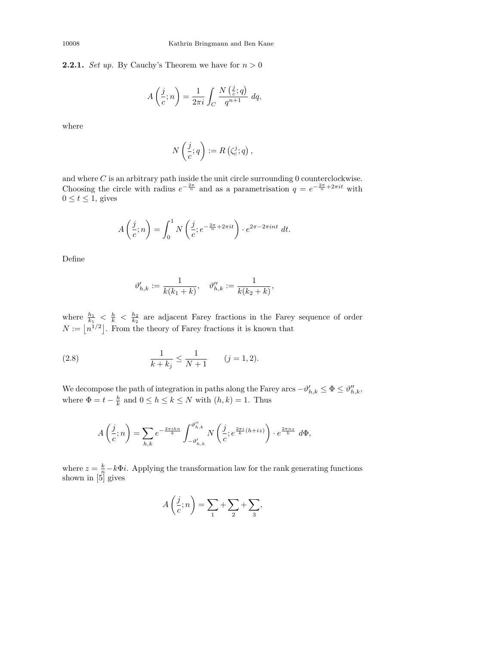**2.2.1.** *Set up.* By Cauchy's Theorem we have for  $n > 0$ 

$$
A\left(\frac{j}{c};n\right) = \frac{1}{2\pi i} \int_C \frac{N\left(\frac{j}{c};q\right)}{q^{n+1}} dq,
$$

where

$$
N\left(\frac{j}{c};q\right) := R\left(\zeta_c^j;q\right),\,
$$

and where  $C$  is an arbitrary path inside the unit circle surrounding 0 counterclockwise. Choosing the circle with radius  $e^{-\frac{2\pi}{n}}$  and as a parametrisation  $q = e^{-\frac{2\pi}{n} + 2\pi i t}$  with  $0 \leq t \leq 1$ , gives

$$
A\left(\frac{j}{c};n\right) = \int_0^1 N\left(\frac{j}{c};e^{-\frac{2\pi}{n}+2\pi it}\right) \cdot e^{2\pi-2\pi int} dt.
$$

Define

$$
\vartheta_{h,k}' := \frac{1}{k(k_1+k)}, \quad \vartheta_{h,k}'' := \frac{1}{k(k_2+k)},
$$

where  $\frac{h_1}{k_1} < \frac{h}{k} < \frac{h_2}{k_2}$  are adjacent Farey fractions in the Farey sequence of order  $N := |n^{1/2}|$ . From the theory of Farey fractions it is known that

(2.8) 
$$
\frac{1}{k+k_j} \le \frac{1}{N+1} \qquad (j=1,2).
$$

We decompose the path of integration in paths along the Farey arcs  $-\vartheta'_{h,k} \leq \Phi \leq \vartheta''_{h,k}$ , where  $\Phi = t - \frac{h}{k}$  and  $0 \le h \le k \le N$  with  $(h, k) = 1$ . Thus

$$
A\left(\frac{j}{c};n\right) = \sum_{h,k} e^{-\frac{2\pi ih n}{k}} \int_{-\vartheta'_{h,k}}^{\vartheta''_{h,k}} N\left(\frac{j}{c}; e^{\frac{2\pi i}{k}(h+iz)}\right) \cdot e^{\frac{2\pi nz}{k}} d\Phi,
$$

where  $z = \frac{k}{n} - k\Phi i$ . Applying the transformation law for the rank generating functions shown in [5] gives

$$
A\left(\frac{j}{c};n\right) = \sum_{1} + \sum_{2} + \sum_{3},
$$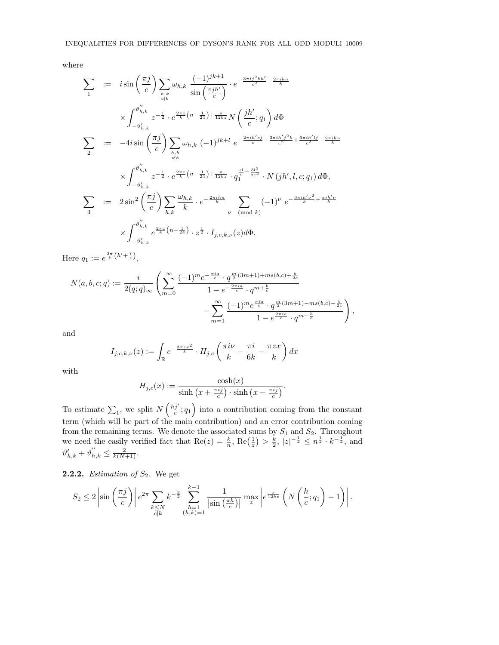where

$$
\sum_{1} := i \sin\left(\frac{\pi j}{c}\right) \sum_{h,k} \omega_{h,k} \frac{(-1)^{jk+1}}{\sin\left(\frac{\pi j h'}{c}\right)} \cdot e^{-\frac{3\pi i j^2 k h'}{c^2} - \frac{2\pi i h n}{k}}
$$
\n
$$
\times \int_{-\vartheta'_{h,k}}^{\vartheta'_{h,k}} z^{-\frac{1}{2}} \cdot e^{\frac{2\pi z}{k} \left(n - \frac{1}{24}\right) + \frac{\pi}{12kz}} N\left(\frac{jh'}{c}; q_{1}\right) d\Phi
$$
\n
$$
\sum_{2} := -4i \sin\left(\frac{\pi j}{c}\right) \sum_{h,k} \omega_{h,k} (-1)^{jk+1} e^{-\frac{2\pi i h' s j}{c} - \frac{3\pi i h' j^2 k}{c^2} + \frac{6\pi i h' l j}{c^2} - \frac{2\pi i h n}{k}}
$$
\n
$$
\times \int_{-\vartheta'_{h,k}}^{\vartheta''_{h,k}} z^{-\frac{1}{2}} \cdot e^{\frac{2\pi z}{k} \left(n - \frac{1}{24}\right) + \frac{\pi}{12kz}} \cdot q_{1}^{\frac{sl}{c} - \frac{3l^{2}}{2c^{2}}} \cdot N\left(jh', l, c; q_{1}\right) d\Phi,
$$
\n
$$
\sum_{3} := 2\sin^{2}\left(\frac{\pi j}{c}\right) \sum_{h,k} \frac{\omega_{h,k}}{k} \cdot e^{-\frac{2\pi i h n}{k}} \sum_{\nu \pmod{k}} (-1)^{\nu} e^{-\frac{3\pi i h' \nu^{2}}{k} + \frac{\pi i h' \nu}{k}}
$$
\n
$$
\times \int_{-\vartheta'_{h,k}}^{\vartheta''_{h,k}} e^{\frac{2\pi z}{k} \left(n - \frac{1}{24}\right)} \cdot z^{\frac{1}{2}} \cdot I_{j,c,k,\nu}(z) d\Phi.
$$

Here  $q_1 := e^{\frac{2\pi}{k} (h' + \frac{i}{z})},$ 

$$
N(a, b, c; q) := \frac{i}{2(q; q)_{\infty}} \left( \sum_{m=0}^{\infty} \frac{(-1)^m e^{-\frac{\pi i a}{c}} \cdot q^{\frac{m}{2}(3m+1) + ms(b, c) + \frac{b}{2c}}}{1 - e^{-\frac{2\pi i a}{c}} \cdot q^{m + \frac{b}{c}}} - \sum_{m=1}^{\infty} \frac{(-1)^m e^{\frac{\pi i a}{c}} \cdot q^{\frac{m}{2}(3m+1) - ms(b, c) - \frac{b}{2c}}}{1 - e^{\frac{2\pi i a}{c}} \cdot q^{m - \frac{b}{c}}}\right),
$$

and

$$
I_{j,c,k,\nu}(z) := \int_{\mathbb{R}} e^{-\frac{3\pi z x^2}{k}} \cdot H_{j,c} \left(\frac{\pi i \nu}{k} - \frac{\pi i}{6k} - \frac{\pi z x}{k}\right) dx
$$

with

$$
H_{j,c}(x) := \frac{\cosh(x)}{\sinh\left(x + \frac{\pi i j}{c}\right) \cdot \sinh\left(x - \frac{\pi i j}{c}\right)}.
$$

To estimate  $\sum_1$ , we split  $N\left(\frac{h j'}{c}; q_1\right)$  into a contribution coming from the constant term (which will be part of the main contribution) and an error contribution coming from the remaining terms. We denote the associated sums by  $S_1$  and  $S_2$ . Throughout we need the easily verified fact that  $\text{Re}(z) = \frac{k}{n}$ ,  $\text{Re}\left(\frac{1}{z}\right) > \frac{k}{2}$ ,  $|z|^{-\frac{1}{2}} \leq n^{\frac{1}{2}} \cdot k^{-\frac{1}{2}}$ , and  $\vartheta'_{h,k} + \vartheta''_{h,k} \leq \frac{2}{k(N+1)}.$ 

**2.2.2.** Estimation of  $S_2$ . We get

$$
S_2 \le 2 \left| \sin \left( \frac{\pi j}{c} \right) \right| e^{2\pi} \sum_{\substack{k \le N \\ c|k}} k^{-\frac{3}{2}} \sum_{\substack{h=1 \\ (h,k)=1}}^{k-1} \frac{1}{\left| \sin \left( \frac{\pi h}{c} \right) \right|} \max_{z} \left| e^{\frac{\pi}{12kz}} \left( N \left( \frac{h}{c}; q_1 \right) - 1 \right) \right|
$$

.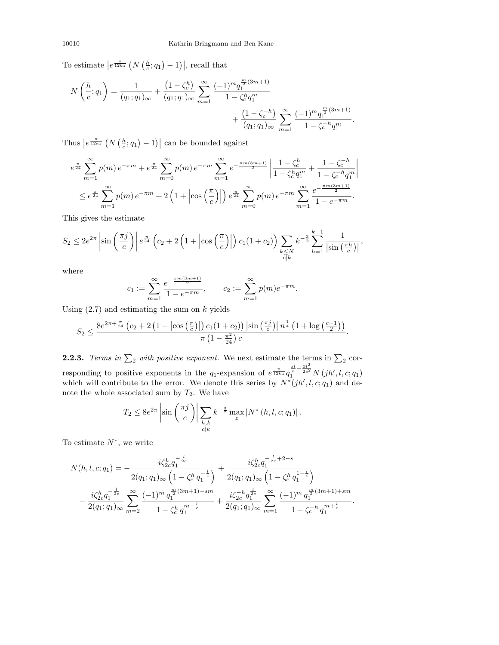To estimate  $\left|e^{\frac{\pi}{12kz}}\left(N\left(\frac{h}{c};q_1\right)-1\right)\right|$ , recall that

$$
N\left(\frac{h}{c};q_1\right) = \frac{1}{(q_1;q_1)_{\infty}} + \frac{\left(1-\zeta_c^h\right)}{(q_1;q_1)_{\infty}} \sum_{m=1}^{\infty} \frac{(-1)^m q_1^{\frac{m}{2}(3m+1)}}{1-\zeta_c^h q_1^m} + \frac{\left(1-\zeta_c^{-h}\right)}{\left(q_1;q_1\right)_{\infty}} \sum_{m=1}^{\infty} \frac{(-1)^m q_1^{\frac{m}{2}(3m+1)}}{1-\zeta_c^{-h} q_1^m}.
$$

Thus  $\left|e^{\frac{\pi}{12kz}}\left(N\left(\frac{h}{c};q_1\right)-1\right)\right|$  can be bounded against

$$
e^{\frac{\pi}{24}} \sum_{m=1}^{\infty} p(m) e^{-\pi m} + e^{\frac{\pi}{24}} \sum_{m=0}^{\infty} p(m) e^{-\pi m} \sum_{m=1}^{\infty} e^{-\frac{\pi m (3m+1)}{2}} \left| \frac{1 - \zeta_c^h}{1 - \zeta_c^h q_1^m} + \frac{1 - \zeta_c^{-h}}{1 - \zeta_c^{-h} q_1^m} \right|
$$
  

$$
\leq e^{\frac{\pi}{24}} \sum_{m=1}^{\infty} p(m) e^{-\pi m} + 2 \left( 1 + \left| \cos \left( \frac{\pi}{c} \right) \right| \right) e^{\frac{\pi}{24}} \sum_{m=0}^{\infty} p(m) e^{-\pi m} \sum_{m=1}^{\infty} \frac{e^{-\frac{\pi m (3m+1)}{2}}}{1 - e^{-\pi m}}.
$$

This gives the estimate

$$
S_2 \le 2e^{2\pi} \left| \sin\left(\frac{\pi j}{c}\right) \right| e^{\frac{\pi}{24}} \left( c_2 + 2\left(1 + \left| \cos\left(\frac{\pi}{c}\right) \right| \right) c_1 (1 + c_2) \right) \sum_{\substack{k \le N \\ c \mid k}} k^{-\frac{3}{2}} \sum_{h=1}^{k-1} \frac{1}{\left| \sin\left(\frac{\pi h}{c}\right) \right|},
$$

where

$$
c_1 := \sum_{m=1}^{\infty} \frac{e^{-\frac{\pi m (3m+1)}{2}}}{1 - e^{-\pi m}}, \qquad c_2 := \sum_{m=1}^{\infty} p(m) e^{-\pi m}.
$$

Using  $(2.7)$  and estimating the sum on k yields

$$
S_2 \le \frac{8e^{2\pi + \frac{\pi}{24}}\left(c_2 + 2\left(1 + \left|\cos\left(\frac{\pi}{c}\right)\right|\right)c_1(1+c_2)\right)\left|\sin\left(\frac{\pi j}{c}\right)\right|n^{\frac{1}{4}}\left(1 + \log\left(\frac{c-1}{2}\right)\right)}{\pi\left(1 - \frac{\pi^2}{24}\right)c}
$$

.

**2.2.3.** Terms in  $\Sigma_2$  with positive exponent. We next estimate the terms in  $\Sigma_2$  corresponding to positive exponents in the  $q_1$ -expansion of  $e^{\frac{\pi}{12kz}}q_1^{\frac{sl}{2}-\frac{3l^2}{2c^2}}N(jh',l,c;q_1)$ which will contribute to the error. We denote this series by  $N^*(jh', l, c; q_1)$  and denote the whole associated sum by  $T_2$ . We have

$$
T_2 \le 8e^{2\pi} \left| \sin\left(\frac{\pi j}{c}\right) \right| \sum_{\substack{h,k \\ c \nmid k}} k^{-\frac{3}{2}} \max_{z} |N^*(h,l,c;q_1)|.
$$

To estimate  $N^*$ , we write

$$
N(h, l, c; q_1) = -\frac{i\zeta_{2c}^h q_1^{-\frac{l}{2c}}}{2(q_1; q_1)_{\infty} \left(1 - \zeta_c^h q_1^{-\frac{l}{c}}\right)} + \frac{i\zeta_{2c}^h q_1^{-\frac{l}{2c} + 2 - s}}{2(q_1; q_1)_{\infty} \left(1 - \zeta_c^h q_1^{-\frac{l}{c}}\right)}
$$

$$
-\frac{i\zeta_{2c}^h q_1^{-\frac{l}{2c}}}{2(q_1; q_1)_{\infty}} \sum_{m=2}^{\infty} \frac{(-1)^m q_1^{\frac{m}{2}(3m+1) - sm}}{1 - \zeta_c^h q_1^{m-\frac{l}{c}}} + \frac{i\zeta_{2c}^{-h} q_1^{\frac{l}{2c}}}{2(q_1; q_1)_{\infty}} \sum_{m=1}^{\infty} \frac{(-1)^m q_1^{\frac{m}{2}(3m+1) + sm}}{1 - \zeta_c^{-h} q_1^{m+\frac{l}{c}}}.
$$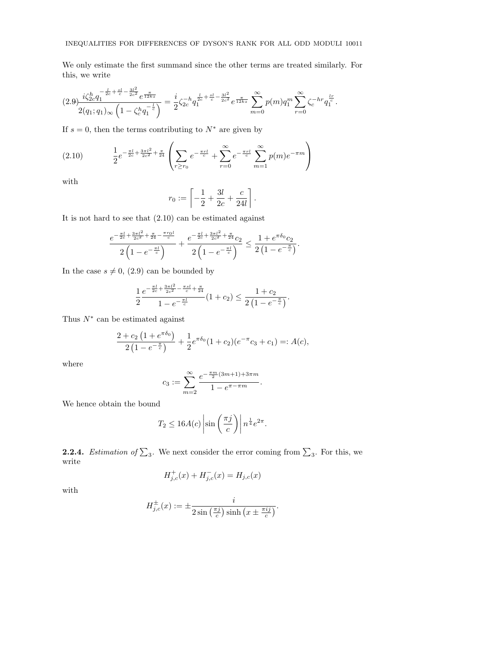We only estimate the first summand since the other terms are treated similarly. For this, we write

$$
(2.9) \frac{i\zeta_{2c}^h q_1^{-\frac{l}{2c}+\frac{sl}{c}-\frac{3l^2}{2c^2}}e^{\frac{\pi}{12kz}}}{2(q_1;q_1)_{\infty}\left(1-\zeta_c^h q_1^{-\frac{l}{c}}\right)} = \frac{i}{2}\zeta_{2c}^{-h}q_1^{\frac{l}{2c}+\frac{sl}{c}-\frac{3l^2}{2c^2}}e^{\frac{\pi}{12kz}}\sum_{m=0}^{\infty}p(m)q_1^m \sum_{r=0}^{\infty}\zeta_c^{-hr}q_1^{\frac{lr}{c}}.
$$

If  $s = 0$ , then the terms contributing to  $N^*$  are given by

$$
(2.10) \qquad \frac{1}{2}e^{-\frac{\pi l}{2c}+\frac{3\pi l^2}{2c^2}+\frac{\pi}{24}}\left(\sum_{r\geq r_0}e^{-\frac{\pi rl}{c}}+\sum_{r=0}^{\infty}e^{-\frac{\pi rl}{c}}\sum_{m=1}^{\infty}p(m)e^{-\pi m}\right)
$$

with

$$
r_0 := \left[ -\frac{1}{2} + \frac{3l}{2c} + \frac{c}{24l} \right].
$$

It is not hard to see that (2.10) can be estimated against

$$
\frac{e^{-\frac{\pi l}{2c}+\frac{3\pi l^2}{2c^2}+\frac{\pi}{24}-\frac{\pi r_0l}{c}}}{2\left(1-e^{-\frac{\pi l}{c}}\right)}+\frac{e^{-\frac{\pi l}{2c}+\frac{3\pi l^2}{2c^2}+\frac{\pi}{24}}c_2}{2\left(1-e^{-\frac{\pi l}{c}}\right)}\leq \frac{1+e^{\pi\delta_0}c_2}{2\left(1-e^{-\frac{\pi}{c}}\right)}.
$$

In the case  $s \neq 0$ , (2.9) can be bounded by

$$
\frac{1}{2}\frac{e^{-\frac{\pi l}{2c}+\frac{3\pi l^2}{2c^2}-\frac{\pi sl}{c}+\frac{\pi}{24}}}{1-e^{-\frac{\pi l}{c}}}(1+c_2)\leq \frac{1+c_2}{2\left(1-e^{-\frac{\pi}{c}}\right)}.
$$

Thus  $N^*$  can be estimated against

$$
\frac{2+c_2\left(1+e^{\pi\delta_0}\right)}{2\left(1-e^{-\frac{\pi}{c}}\right)}+\frac{1}{2}e^{\pi\delta_0}(1+c_2)(e^{-\pi}c_3+c_1)=:A(c),
$$

where

$$
c_3 := \sum_{m=2}^{\infty} \frac{e^{-\frac{\pi m}{2}(3m+1)+3\pi m}}{1 - e^{\pi - \pi m}}.
$$

We hence obtain the bound

$$
T_2 \le 16A(c) \left| \sin \left( \frac{\pi j}{c} \right) \right| n^{\frac{1}{4}} e^{2\pi}.
$$

**2.2.4.** Estimation of  $\Sigma_3$ . We next consider the error coming from  $\Sigma_3$ . For this, we write

$$
H_{j,c}^{+}(x) + H_{j,c}^{-}(x) = H_{j,c}(x)
$$

with

$$
H_{j,c}^{\pm}(x) := \pm \frac{i}{2\sin\left(\frac{\pi j}{c}\right)\sinh\left(x \pm \frac{\pi ij}{c}\right)}.
$$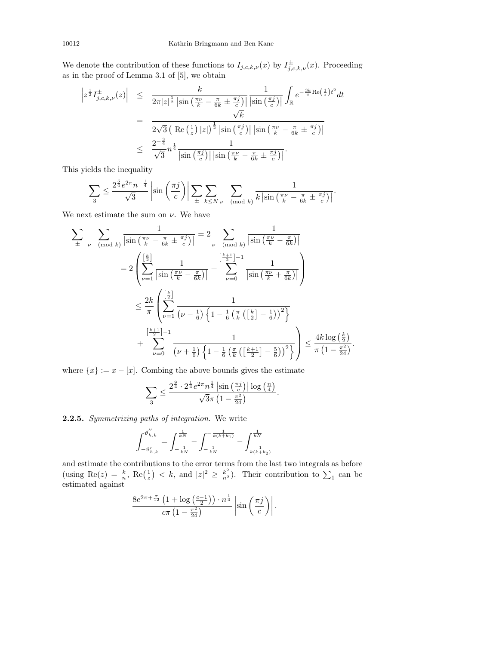We denote the contribution of these functions to  $I_{j,c,k,\nu}(x)$  by  $I_{j,c,k,\nu}^{\pm}(x)$ . Proceeding as in the proof of Lemma 3.1 of  $[5],$  we obtain

$$
\begin{array}{rcl}\n\left|z^{\frac{1}{2}}I_{j,c,k,\nu}^{\pm}(z)\right| & \leq & \frac{k}{2\pi|z|^{\frac{1}{2}}\left|\sin\left(\frac{\pi\nu}{k} - \frac{\pi}{6k} \pm \frac{\pi j}{c}\right)\right|} \frac{1}{\left|\sin\left(\frac{\pi j}{c}\right)\right|} \int_{\mathbb{R}} e^{-\frac{3k}{\pi}\text{Re}\left(\frac{1}{z}\right)t^2} dt \\
& = & \frac{\sqrt{k}}{2\sqrt{3}\left(\left|\text{Re}\left(\frac{1}{z}\right)|z|\right)^{\frac{1}{2}}\left|\sin\left(\frac{\pi j}{c}\right)\right|\left|\sin\left(\frac{\pi\nu}{k} - \frac{\pi}{6k} \pm \frac{\pi j}{c}\right)\right|} \\
& \leq & \frac{2^{-\frac{3}{4}}}{\sqrt{3}} n^{\frac{1}{4}} \frac{1}{\left|\sin\left(\frac{\pi j}{c}\right)\right| \left|\sin\left(\frac{\pi\nu}{k} - \frac{\pi}{6k} \pm \frac{\pi j}{c}\right)\right|}.\n\end{array}
$$

This yields the inequality

$$
\sum_{3} \leq \frac{2^{\frac{5}{4}}e^{2\pi}n^{-\frac{1}{4}}}{\sqrt{3}}\left|\sin\left(\frac{\pi j}{c}\right)\right| \sum_{\pm} \sum_{k \leq N} \sum_{\nu \pmod{k}} \frac{1}{k\left|\sin\left(\frac{\pi\nu}{k} - \frac{\pi}{6k} \pm \frac{\pi j}{c}\right)\right|}.
$$

We next estimate the sum on  $\nu$ . We have

$$
\sum_{\pm} \sum_{\nu \pmod{k}} \frac{1}{\left|\sin\left(\frac{\pi\nu}{k} - \frac{\pi}{6k} \pm \frac{\pi j}{c}\right)\right|} = 2 \sum_{\nu \pmod{k}} \frac{1}{\left|\sin\left(\frac{\pi\nu}{k} - \frac{\pi}{6k}\right)\right|}
$$

$$
= 2 \left( \sum_{\nu=1}^{\left[\frac{k}{2}\right]} \frac{1}{\left|\sin\left(\frac{\pi\nu}{k} - \frac{\pi}{6k}\right)\right|} + \sum_{\nu=0}^{\left[\frac{k+1}{2}\right]-1} \frac{1}{\left|\sin\left(\frac{\pi\nu}{k} + \frac{\pi}{6k}\right)\right|} \right)
$$

$$
\leq \frac{2k}{\pi} \left( \sum_{\nu=1}^{\left[\frac{k}{2}\right]} \frac{1}{\left(\nu - \frac{1}{6}\right) \left\{1 - \frac{1}{6} \left(\frac{\pi}{k} \left(\left[\frac{k}{2}\right] - \frac{1}{6}\right)\right)^2\right\}}
$$

$$
+ \sum_{\nu=0}^{\left[\frac{k+1}{2}\right]-1} \frac{1}{\left(\nu + \frac{1}{6}\right) \left\{1 - \frac{1}{6} \left(\frac{\pi}{k} \left(\left[\frac{k+1}{2}\right] - \frac{5}{6}\right)\right)^2\right\}} \right) \leq \frac{4k \log\left(\frac{k}{2}\right)}{\pi \left(1 - \frac{\pi^2}{24}\right)}.
$$

where  $\{x\} := x - [x]$ . Combing the above bounds gives the estimate

$$
\sum_{3} \leq \frac{2^{\frac{9}{4}} \cdot 2^{\frac{1}{4}} e^{2\pi} n^{\frac{1}{4}} \left| \sin\left(\frac{\pi j}{c}\right) \right| \log\left(\frac{n}{4}\right)}{\sqrt{3}\pi \left(1 - \frac{\pi^2}{24}\right)}.
$$

2.2.5. Symmetrizing paths of integration. We write

$$
\int_{-\vartheta_{h,k}^{\prime}}^{\vartheta_{h,k}^{\prime\prime}}=\int_{-\frac{1}{kN}}^{\frac{1}{kN}}-\int_{-\frac{1}{kN}}^{-\frac{1}{k(k+k_1)}}-\int_{\frac{1}{k(k+k_2)}}^{\frac{1}{kN}}
$$

and estimate the contributions to the error terms from the last two integrals as before (using Re(z) =  $\frac{k}{n}$ , Re( $\frac{1}{z}$ ) < k, and  $|z|^2 \geq \frac{k^2}{n^2}$ ). Their contribution to  $\sum_1$  can be estimated against

$$
\frac{8e^{2\pi + \frac{\pi}{12}} \left(1 + \log\left(\frac{c-1}{2}\right)\right) \cdot n^{\frac{1}{4}}}{c\pi \left(1 - \frac{\pi^2}{24}\right)} \left|\sin\left(\frac{\pi j}{c}\right)\right|.
$$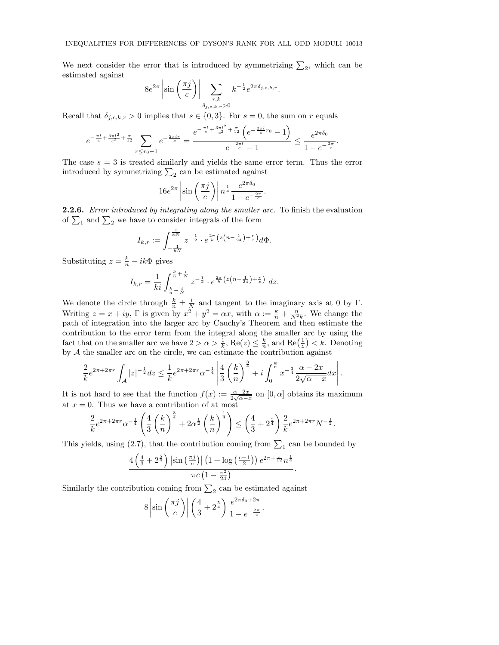We next consider the error that is introduced by symmetrizing  $\Sigma_2$ , which can be estimated against

$$
8e^{2\pi} \left| \sin \left( \frac{\pi j}{c} \right) \right| \sum_{\substack{r,k \\ \delta_{j,c,k,r} > 0}} k^{-\frac{1}{2}} e^{2\pi \delta_{j,c,k,r}}
$$

.

Recall that  $\delta_{j,c,k,r} > 0$  implies that  $s \in \{0,3\}$ . For  $s = 0$ , the sum on r equals

$$
e^{-\frac{\pi l}{c} + \frac{3\pi l^2}{c^2} + \frac{\pi}{12}} \sum_{r \le r_0 - 1} e^{-\frac{2\pi l r}{c}} = \frac{e^{-\frac{\pi l}{c} + \frac{3\pi l^2}{c^2} + \frac{\pi}{12}} \left(e^{-\frac{2\pi l}{c} r_0} - 1\right)}{e^{-\frac{2\pi l}{c}} - 1} \le \frac{e^{2\pi \delta_0}}{1 - e^{-\frac{2\pi}{c}}}.
$$

The case  $s = 3$  is treated similarly and yields the same error term. Thus the error introduced by symmetrizing  $\sum_2$  can be estimated against

$$
16e^{2\pi} \left| \sin \left( \frac{\pi j}{c} \right) \right| n^{\frac{1}{4}} \frac{e^{2\pi \delta_0}}{1 - e^{-\frac{2\pi}{c}}}.
$$

2.2.6. Error introduced by integrating along the smaller arc. To finish the evaluation of  $\Sigma_1$  and  $\Sigma_2$  we have to consider integrals of the form

$$
I_{k,r} := \int_{-\frac{1}{kN}}^{\frac{1}{kN}} z^{-\frac{1}{2}} \cdot e^{\frac{2\pi}{k} \left( z\left(n - \frac{1}{24}\right) + \frac{r}{z}\right)} d\Phi.
$$

Substituting  $z = \frac{k}{n} - ik\Phi$  gives

$$
I_{k,r} = \frac{1}{ki} \int_{\frac{k}{n} - \frac{i}{N}}^{\frac{k}{n} + \frac{i}{N}} z^{-\frac{1}{2}} \cdot e^{\frac{2\pi}{k} \left( z \left( n - \frac{1}{24} \right) + \frac{r}{z} \right)} dz.
$$

We denote the circle through  $\frac{k}{n} \pm \frac{i}{N}$  and tangent to the imaginary axis at 0 by  $\Gamma$ . Writing  $z = x + iy$ ,  $\Gamma$  is given by  $x^2 + y^2 = \alpha x$ , with  $\alpha := \frac{k}{n} + \frac{n}{N^2 k}$ . We change the path of integration into the larger arc by Cauchy's Theorem and then estimate the contribution to the error term from the integral along the smaller arc by using the fact that on the smaller arc we have  $2 > \alpha > \frac{1}{k}$ ,  $\text{Re}(z) \leq \frac{k}{n}$ , and  $\text{Re}(\frac{1}{z}) < k$ . Denoting by  $A$  the smaller arc on the circle, we can estimate the contribution against

$$
\frac{2}{k}e^{2\pi + 2\pi r} \int_{\mathcal{A}} |z|^{-\frac{1}{2}} dz \le \frac{1}{k}e^{2\pi + 2\pi r} \alpha^{-\frac{1}{4}} \left| \frac{4}{3} \left( \frac{k}{n} \right)^{\frac{3}{4}} + i \int_{0}^{\frac{k}{n}} x^{-\frac{3}{4}} \frac{\alpha - 2x}{2\sqrt{\alpha - x}} dx \right|.
$$

It is not hard to see that the function  $f(x) := \frac{\alpha - 2x}{2\sqrt{\alpha - x}}$  on  $[0, \alpha]$  obtains its maximum at  $x = 0$ . Thus we have a contribution of at most

$$
\frac{2}{k}e^{2\pi + 2\pi r} \alpha^{-\frac{1}{4}} \left( \frac{4}{3} \left( \frac{k}{n} \right)^{\frac{3}{4}} + 2\alpha^{\frac{1}{2}} \left( \frac{k}{n} \right)^{\frac{1}{4}} \right) \le \left( \frac{4}{3} + 2^{\frac{5}{4}} \right) \frac{2}{k} e^{2\pi + 2\pi r} N^{-\frac{1}{2}}.
$$

This yields, using (2.7), that the contribution coming from  $\sum_1$  can be bounded by

$$
\frac{4\left(\frac{4}{3}+2^{\frac{5}{4}}\right)\left|\sin\left(\frac{\pi j}{c}\right)\right|\left(1+\log\left(\frac{c-1}{2}\right)\right)e^{2\pi+\frac{\pi}{12}}n^{\frac{1}{4}}}{\pi c\left(1-\frac{\pi^2}{24}\right)}.
$$

Similarly the contribution coming from  $\sum_2$  can be estimated against

$$
8\left|\sin\left(\frac{\pi j}{c}\right)\right| \left(\frac{4}{3} + 2^{\frac{5}{4}}\right) \frac{e^{2\pi \delta_0 + 2\pi}}{1 - e^{-\frac{2\pi}{c}}}.
$$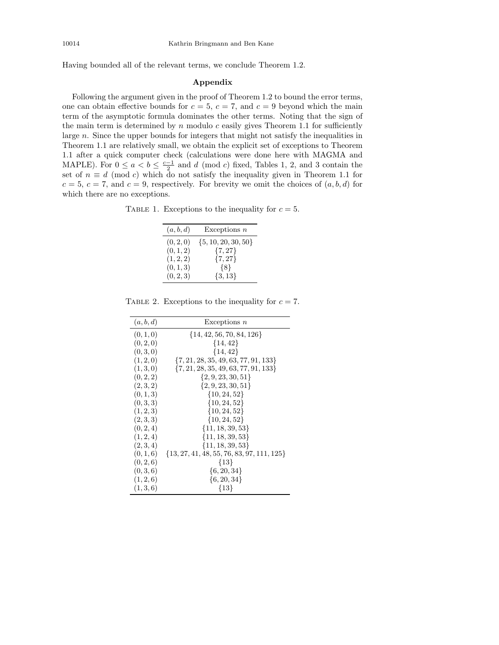Having bounded all of the relevant terms, we conclude Theorem 1.2.

## Appendix

Following the argument given in the proof of Theorem 1.2 to bound the error terms, one can obtain effective bounds for  $c = 5$ ,  $c = 7$ , and  $c = 9$  beyond which the main term of the asymptotic formula dominates the other terms. Noting that the sign of the main term is determined by  $n$  modulo  $c$  easily gives Theorem 1.1 for sufficiently large n. Since the upper bounds for integers that might not satisfy the inequalities in Theorem 1.1 are relatively small, we obtain the explicit set of exceptions to Theorem 1.1 after a quick computer check (calculations were done here with MAGMA and MAPLE). For  $0 \le a < b \le \frac{c-1}{2}$  and d (mod c) fixed, Tables 1, 2, and 3 contain the set of  $n \equiv d \pmod{c}$  which do not satisfy the inequality given in Theorem 1.1 for  $c = 5, c = 7,$  and  $c = 9$ , respectively. For brevity we omit the choices of  $(a, b, d)$  for which there are no exceptions.

TABLE 1. Exceptions to the inequality for  $c = 5$ .

| (a, b, d) | Exceptions $n$          |
|-----------|-------------------------|
| (0, 2, 0) | $\{5, 10, 20, 30, 50\}$ |
| (0, 1, 2) | $\{7, 27\}$             |
| (1, 2, 2) | $\{7, 27\}$             |
| (0,1,3)   | $\{8\}$                 |
| (0, 2, 3) | $\{3, 13\}$             |

TABLE 2. Exceptions to the inequality for  $c = 7$ .

| (a, b, d) | Exceptions $n$                                 |
|-----------|------------------------------------------------|
| (0, 1, 0) | $\{14, 42, 56, 70, 84, 126\}$                  |
| (0, 2, 0) | $\{14, 42\}$                                   |
| (0, 3, 0) | ${14, 42}$                                     |
| (1, 2, 0) | $\{7, 21, 28, 35, 49, 63, 77, 91, 133\}$       |
| (1,3,0)   | $\{7, 21, 28, 35, 49, 63, 77, 91, 133\}$       |
| (0, 2, 2) | $\{2, 9, 23, 30, 51\}$                         |
| (2,3,2)   | ${2, 9, 23, 30, 51}$                           |
| (0, 1, 3) | $\{10, 24, 52\}$                               |
| (0, 3, 3) | $\{10, 24, 52\}$                               |
| (1, 2, 3) | $\{10, 24, 52\}$                               |
| (2,3,3)   | $\{10, 24, 52\}$                               |
| (0, 2, 4) | $\{11, 18, 39, 53\}$                           |
| (1, 2, 4) | $\{11, 18, 39, 53\}$                           |
| (2,3,4)   | $\{11, 18, 39, 53\}$                           |
| (0, 1, 6) | $\{13, 27, 41, 48, 55, 76, 83, 97, 111, 125\}$ |
| (0, 2, 6) | ${13}$                                         |
| (0, 3, 6) | $\{6, 20, 34\}$                                |
| (1, 2, 6) | $\{6, 20, 34\}$                                |
| (1,3,6)   | ${13}$                                         |
|           |                                                |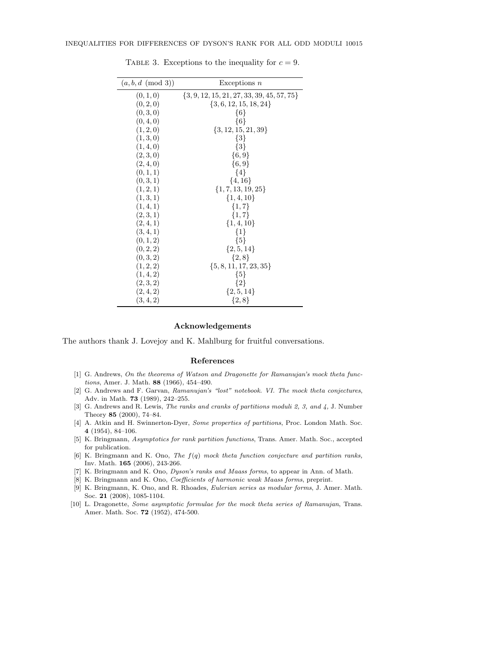| $(a, b, d \pmod{3})$ | Exceptions $n$                                 |
|----------------------|------------------------------------------------|
| (0, 1, 0)            | $\{3, 9, 12, 15, 21, 27, 33, 39, 45, 57, 75\}$ |
| (0, 2, 0)            | $\{3, 6, 12, 15, 18, 24\}$                     |
| (0, 3, 0)            | ${6}$                                          |
| (0, 4, 0)            | ${6}$                                          |
| (1, 2, 0)            | $\{3, 12, 15, 21, 39\}$                        |
| (1,3,0)              | $\{3\}$                                        |
| (1, 4, 0)            | $\{3\}$                                        |
| (2,3,0)              | $\{6, 9\}$                                     |
| (2,4,0)              | $\{6, 9\}$                                     |
| (0, 1, 1)            | $\{4\}$                                        |
| (0,3,1)              | $\{4, 16\}$                                    |
| (1, 2, 1)            | $\{1, 7, 13, 19, 25\}$                         |
| (1,3,1)              | $\{1, 4, 10\}$                                 |
| (1, 4, 1)            | $\{1, 7\}$                                     |
| (2,3,1)              | $\{1,7\}$                                      |
| (2,4,1)              | $\{1,4,10\}$                                   |
| (3,4,1)              | $\{1\}$                                        |
| (0, 1, 2)            | ${5}$                                          |
| (0, 2, 2)            | $\{2, 5, 14\}$                                 |
| (0, 3, 2)            | $\{2, 8\}$                                     |
| (1, 2, 2)            | $\{5, 8, 11, 17, 23, 35\}$                     |
| (1, 4, 2)            | ${5}$                                          |
| (2,3,2)              | $\{2\}$                                        |
| (2,4,2)              | $\{2, 5, 14\}$                                 |
| (3, 4, 2)            | $\{2, 8\}$                                     |

TABLE 3. Exceptions to the inequality for  $c = 9$ .

### Acknowledgements

The authors thank J. Lovejoy and K. Mahlburg for fruitful conversations.

 $\overline{\phantom{a}}$ 

#### References

- [1] G. Andrews, On the theorems of Watson and Dragonette for Ramanujan's mock theta functions, Amer. J. Math. 88 (1966), 454–490.
- [2] G. Andrews and F. Garvan, Ramanujan's "lost" notebook. VI. The mock theta conjectures, Adv. in Math. 73 (1989), 242–255.
- [3] G. Andrews and R. Lewis, The ranks and cranks of partitions moduli 2, 3, and 4, J. Number Theory 85 (2000), 74–84.
- [4] A. Atkin and H. Swinnerton-Dyer, Some properties of partitions, Proc. London Math. Soc. 4 (1954), 84–106.
- [5] K. Bringmann, Asymptotics for rank partition functions, Trans. Amer. Math. Soc., accepted for publication.
- [6] K. Bringmann and K. Ono, The  $f(q)$  mock theta function conjecture and partition ranks, Inv. Math. 165 (2006), 243-266.
- [7] K. Bringmann and K. Ono, Dyson's ranks and Maass forms, to appear in Ann. of Math.
- [8] K. Bringmann and K. Ono, Coefficients of harmonic weak Maass forms, preprint.
- [9] K. Bringmann, K. Ono, and R. Rhoades, Eulerian series as modular forms, J. Amer. Math. Soc. 21 (2008), 1085-1104.
- [10] L. Dragonette, Some asymptotic formulae for the mock theta series of Ramanujan, Trans. Amer. Math. Soc. 72 (1952), 474-500.